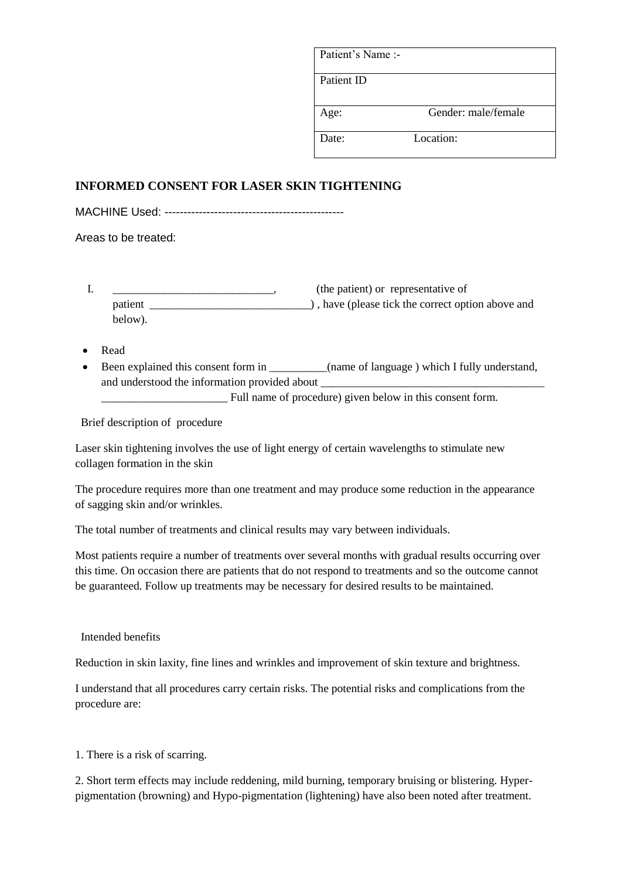| Patient's Name :- |                     |
|-------------------|---------------------|
| Patient ID        |                     |
| Age:              | Gender: male/female |
| Date:             | Location:           |

## **INFORMED CONSENT FOR LASER SKIN TIGHTENING**

MACHINE Used: -----------------------------------------------

Areas to be treated:

- I. \_\_\_\_\_\_\_\_\_\_\_\_\_\_\_\_\_\_\_\_\_\_\_\_\_\_\_\_\_\_\_\_, (the patient) or representative of patient \_\_\_\_\_\_\_\_\_\_\_\_\_\_\_\_\_\_\_\_\_\_\_\_\_\_\_\_) , have (please tick the correct option above and below).
- Read
- Been explained this consent form in \_\_\_\_\_\_\_\_\_(name of language ) which I fully understand, and understood the information provided about \_

\_\_\_\_\_\_\_\_\_\_\_\_\_\_\_\_\_\_\_\_\_\_ Full name of procedure) given below in this consent form.

Brief description of procedure

Laser skin tightening involves the use of light energy of certain wavelengths to stimulate new collagen formation in the skin

The procedure requires more than one treatment and may produce some reduction in the appearance of sagging skin and/or wrinkles.

The total number of treatments and clinical results may vary between individuals.

Most patients require a number of treatments over several months with gradual results occurring over this time. On occasion there are patients that do not respond to treatments and so the outcome cannot be guaranteed. Follow up treatments may be necessary for desired results to be maintained.

Intended benefits

Reduction in skin laxity, fine lines and wrinkles and improvement of skin texture and brightness.

I understand that all procedures carry certain risks. The potential risks and complications from the procedure are:

1. There is a risk of scarring.

2. Short term effects may include reddening, mild burning, temporary bruising or blistering. Hyperpigmentation (browning) and Hypo-pigmentation (lightening) have also been noted after treatment.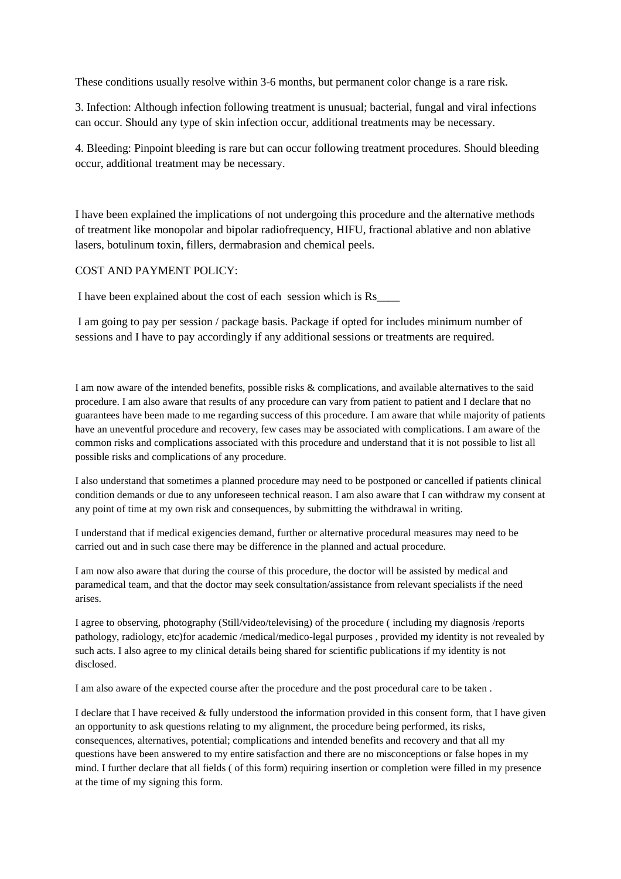These conditions usually resolve within 3-6 months, but permanent color change is a rare risk.

3. Infection: Although infection following treatment is unusual; bacterial, fungal and viral infections can occur. Should any type of skin infection occur, additional treatments may be necessary.

4. Bleeding: Pinpoint bleeding is rare but can occur following treatment procedures. Should bleeding occur, additional treatment may be necessary.

I have been explained the implications of not undergoing this procedure and the alternative methods of treatment like monopolar and bipolar radiofrequency, HIFU, fractional ablative and non ablative lasers, botulinum toxin, fillers, dermabrasion and chemical peels.

## COST AND PAYMENT POLICY:

I have been explained about the cost of each session which is Rs\_\_\_\_

I am going to pay per session / package basis. Package if opted for includes minimum number of sessions and I have to pay accordingly if any additional sessions or treatments are required.

I am now aware of the intended benefits, possible risks & complications, and available alternatives to the said procedure. I am also aware that results of any procedure can vary from patient to patient and I declare that no guarantees have been made to me regarding success of this procedure. I am aware that while majority of patients have an uneventful procedure and recovery, few cases may be associated with complications. I am aware of the common risks and complications associated with this procedure and understand that it is not possible to list all possible risks and complications of any procedure.

I also understand that sometimes a planned procedure may need to be postponed or cancelled if patients clinical condition demands or due to any unforeseen technical reason. I am also aware that I can withdraw my consent at any point of time at my own risk and consequences, by submitting the withdrawal in writing.

I understand that if medical exigencies demand, further or alternative procedural measures may need to be carried out and in such case there may be difference in the planned and actual procedure.

I am now also aware that during the course of this procedure, the doctor will be assisted by medical and paramedical team, and that the doctor may seek consultation/assistance from relevant specialists if the need arises.

I agree to observing, photography (Still/video/televising) of the procedure ( including my diagnosis /reports pathology, radiology, etc)for academic /medical/medico-legal purposes , provided my identity is not revealed by such acts. I also agree to my clinical details being shared for scientific publications if my identity is not disclosed.

I am also aware of the expected course after the procedure and the post procedural care to be taken .

I declare that I have received & fully understood the information provided in this consent form, that I have given an opportunity to ask questions relating to my alignment, the procedure being performed, its risks, consequences, alternatives, potential; complications and intended benefits and recovery and that all my questions have been answered to my entire satisfaction and there are no misconceptions or false hopes in my mind. I further declare that all fields ( of this form) requiring insertion or completion were filled in my presence at the time of my signing this form.